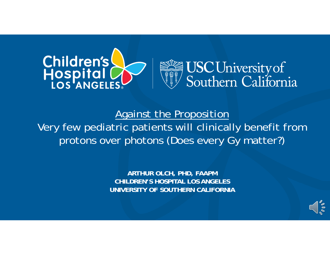



Against the Proposition Very few pediatric patients will clinically benefit from protons over photons (Does every Gy matter?)

> **ARTHUR OLCH, PHD, FAAPM CHILDREN'S HOSPITAL LOS ANGELESUNIVERSITY OF SOUTHERN CALIFORNIA**

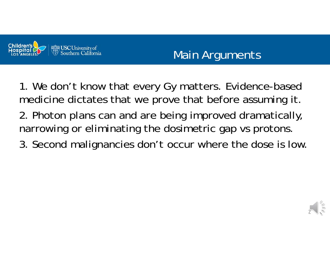

# Main Arguments

1. We don't know that every Gy matters. Evidence-based medicine dictates that we prove that before assuming it.

- 2. Photon plans can and are being improved dramatically, narrowing or eliminating the dosimetric gap vs protons.
- 3. Second malignancies don't occur where the dose is low.

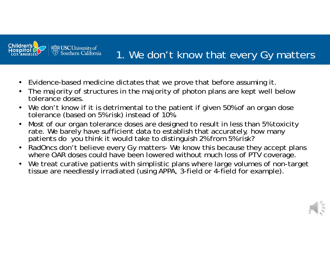

### 1. We don't know that every Gy matters

- $\bullet$ Evidence-based medicine dictates that we prove that before assuming it.
- $\bullet$  The majority of structures in the majority of photon plans are kept well below tolerance doses.
- $\bullet$ We don't know if it is detrimental to the patient if given 50% of an organ dose tolerance (based on 5% risk) instead of 10%.
- • Most of our organ tolerance doses are designed to result in less than 5% toxicity rate. We barely have sufficient data to establish that accurately, how many patients do you think it would take to distinguish 2% from 5% risk?
- $\bullet$  RadOncs don't believe every Gy matters- We know this because they accept plans where OAR doses could have been lowered without much loss of PTV coverage.
- $\bullet$ We treat curative patients with simplistic plans where large volumes of non-target tissue are needlessly irradiated (using APPA, 3-field or 4-field for example).

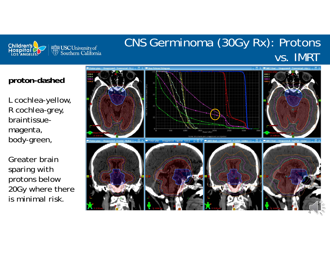

## CNS Germinoma (30Gy Rx): Protons vs. IMRT

#### **proton-dashed**

L cochlea-yellow, R cochlea-grey, braintissuemagenta, body-green,

Greater brain sparing with protons below 20Gy where there is minimal risk.

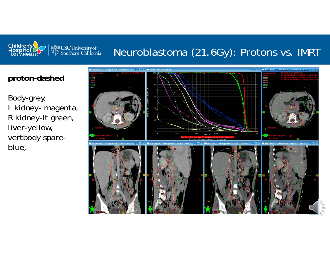

### Neuroblastoma (21.6Gy): Protons vs. IMRT

#### **proton-dashed**

Body-grey, L kidney- magenta, R kidney-lt green, liver-yellow, vertbody spareblue,

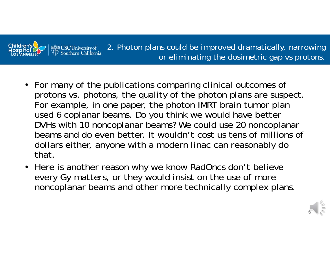

2. Photon plans could be improved dramatically, narrowing or eliminating the dosimetric gap vs protons.

- For many of the publications comparing clinical outcomes of protons vs. photons, the quality of the photon plans are suspect. For example, in one paper, the photon IMRT brain tumor plan used 6 coplanar beams. Do you think we would have better DVHs with 10 noncoplanar beams? We could use 20 noncoplanar beams and do even better. It wouldn't cost us tens of millions of dollars either, anyone with a modern linac can reasonably do that.
- Here is another reason why we know RadOncs don't believe every Gy matters, or they would insist on the use of more noncoplanar beams and other more technically complex plans.

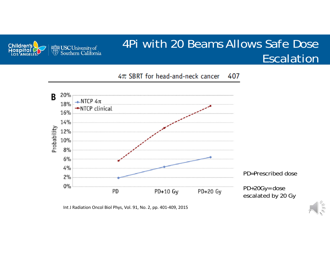

### 4Pi with 20 Beams Allows Safe Dose Escalation

 $4\pi$  SBRT for head-and-neck cancer 407



Int J Radiation Oncol Biol Phys, Vol. 91, No. 2, pp. 401‐409, 2015

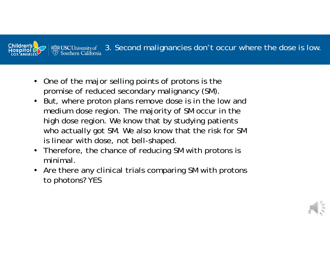

- $\bullet$  One of the major selling points of protons is the promise of reduced secondary malignancy (SM).
- $\bullet$  But, where proton plans remove dose is in the low and medium dose region. The majority of SM occur in the high dose region. We know that by studying patients who actually got SM. We also know that the risk for SM is linear with dose, not bell-shaped.
- Therefore, the chance of reducing SM with protons is minimal.
- $\bullet$  Are there any clinical trials comparing SM with protons to photons? YES

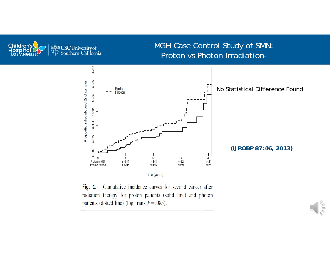

#### MGH Case Control Study of SMN: Proton vs Photon Irradiation-



Fig. 1. Cumulative incidence curves for second cancer after radiation therapy for proton patients (solid line) and photon patients (dotted line) (log-rank  $P = .085$ ).

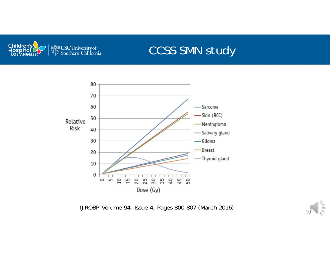

## CCSS SMN study



IJROBP-Volume 94, Issue 4, Pages 800-807 (March 2016)

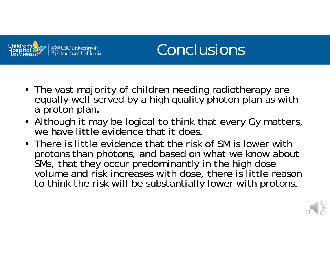

# Conclusions

- The vast majority of children needing radiotherapy are equally well served by a high quality photon plan as with a proton plan.
- Although it may be logical to think that every Gy matters, we have little evidence that it does.
- There is little evidence that the risk of SM is lower with protons than photons, and based on what we know about SMs, that they occur predominantly in the high dose volume and risk increases with dose, there is little reason to think the risk will be substantially lower with protons.